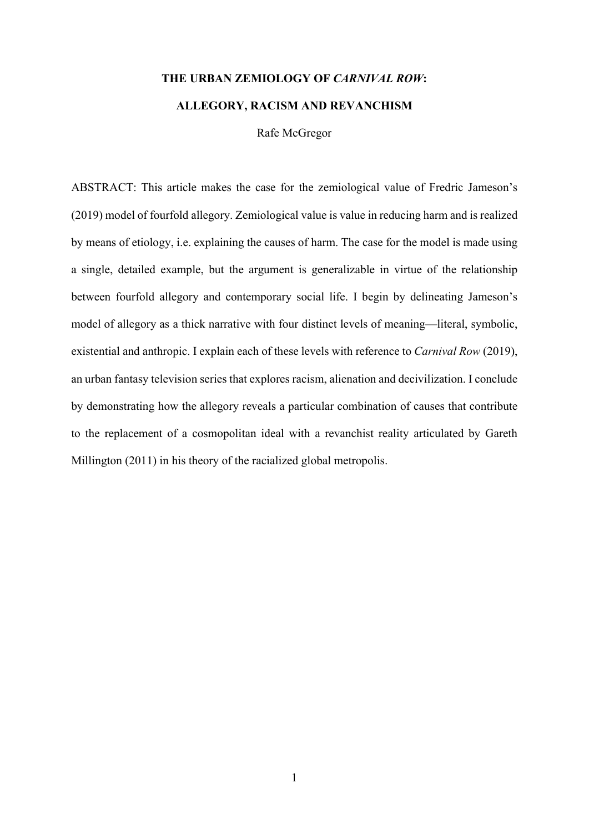# THE URBAN ZEMIOLOGY OF CARNIVAL ROW: ALLEGORY, RACISM AND REVANCHISM

Rafe McGregor

ABSTRACT: This article makes the case for the zemiological value of Fredric Jameson's (2019) model of fourfold allegory. Zemiological value is value in reducing harm and is realized by means of etiology, i.e. explaining the causes of harm. The case for the model is made using a single, detailed example, but the argument is generalizable in virtue of the relationship between fourfold allegory and contemporary social life. I begin by delineating Jameson's model of allegory as a thick narrative with four distinct levels of meaning—literal, symbolic, existential and anthropic. I explain each of these levels with reference to Carnival Row (2019), an urban fantasy television series that explores racism, alienation and decivilization. I conclude by demonstrating how the allegory reveals a particular combination of causes that contribute to the replacement of a cosmopolitan ideal with a revanchist reality articulated by Gareth Millington (2011) in his theory of the racialized global metropolis.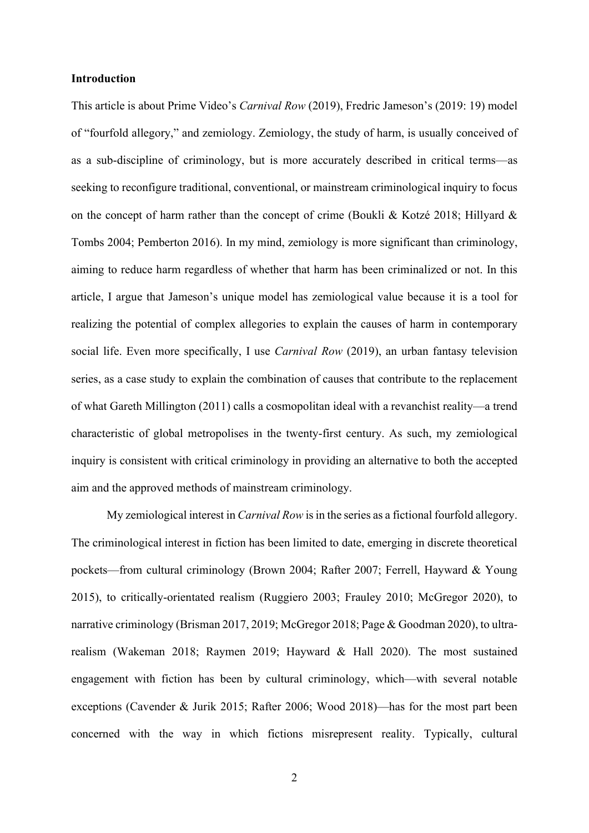#### Introduction

This article is about Prime Video's Carnival Row (2019), Fredric Jameson's (2019: 19) model of "fourfold allegory," and zemiology. Zemiology, the study of harm, is usually conceived of as a sub-discipline of criminology, but is more accurately described in critical terms—as seeking to reconfigure traditional, conventional, or mainstream criminological inquiry to focus on the concept of harm rather than the concept of crime (Boukli & Kotzé 2018; Hillyard & Tombs 2004; Pemberton 2016). In my mind, zemiology is more significant than criminology, aiming to reduce harm regardless of whether that harm has been criminalized or not. In this article, I argue that Jameson's unique model has zemiological value because it is a tool for realizing the potential of complex allegories to explain the causes of harm in contemporary social life. Even more specifically, I use *Carnival Row* (2019), an urban fantasy television series, as a case study to explain the combination of causes that contribute to the replacement of what Gareth Millington (2011) calls a cosmopolitan ideal with a revanchist reality—a trend characteristic of global metropolises in the twenty-first century. As such, my zemiological inquiry is consistent with critical criminology in providing an alternative to both the accepted aim and the approved methods of mainstream criminology.

My zemiological interest in Carnival Row is in the series as a fictional fourfold allegory. The criminological interest in fiction has been limited to date, emerging in discrete theoretical pockets—from cultural criminology (Brown 2004; Rafter 2007; Ferrell, Hayward & Young 2015), to critically-orientated realism (Ruggiero 2003; Frauley 2010; McGregor 2020), to narrative criminology (Brisman 2017, 2019; McGregor 2018; Page & Goodman 2020), to ultrarealism (Wakeman 2018; Raymen 2019; Hayward & Hall 2020). The most sustained engagement with fiction has been by cultural criminology, which—with several notable exceptions (Cavender & Jurik 2015; Rafter 2006; Wood 2018)—has for the most part been concerned with the way in which fictions misrepresent reality. Typically, cultural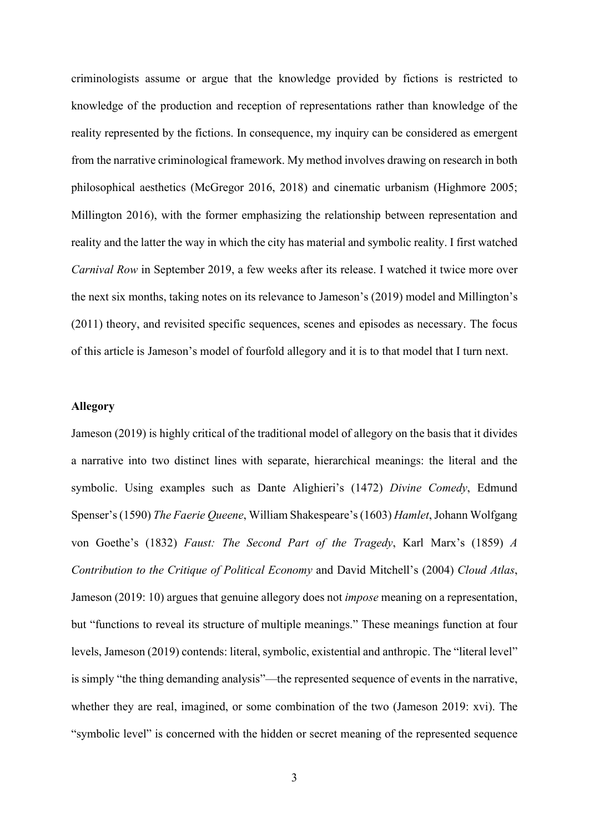criminologists assume or argue that the knowledge provided by fictions is restricted to knowledge of the production and reception of representations rather than knowledge of the reality represented by the fictions. In consequence, my inquiry can be considered as emergent from the narrative criminological framework. My method involves drawing on research in both philosophical aesthetics (McGregor 2016, 2018) and cinematic urbanism (Highmore 2005; Millington 2016), with the former emphasizing the relationship between representation and reality and the latter the way in which the city has material and symbolic reality. I first watched Carnival Row in September 2019, a few weeks after its release. I watched it twice more over the next six months, taking notes on its relevance to Jameson's (2019) model and Millington's (2011) theory, and revisited specific sequences, scenes and episodes as necessary. The focus of this article is Jameson's model of fourfold allegory and it is to that model that I turn next.

## Allegory

Jameson (2019) is highly critical of the traditional model of allegory on the basis that it divides a narrative into two distinct lines with separate, hierarchical meanings: the literal and the symbolic. Using examples such as Dante Alighieri's (1472) Divine Comedy, Edmund Spenser's (1590) The Faerie Queene, William Shakespeare's (1603) Hamlet, Johann Wolfgang von Goethe's (1832) Faust: The Second Part of the Tragedy, Karl Marx's (1859) A Contribution to the Critique of Political Economy and David Mitchell's (2004) Cloud Atlas, Jameson (2019: 10) argues that genuine allegory does not *impose* meaning on a representation, but "functions to reveal its structure of multiple meanings." These meanings function at four levels, Jameson (2019) contends: literal, symbolic, existential and anthropic. The "literal level" is simply "the thing demanding analysis"—the represented sequence of events in the narrative, whether they are real, imagined, or some combination of the two (Jameson 2019: xvi). The "symbolic level" is concerned with the hidden or secret meaning of the represented sequence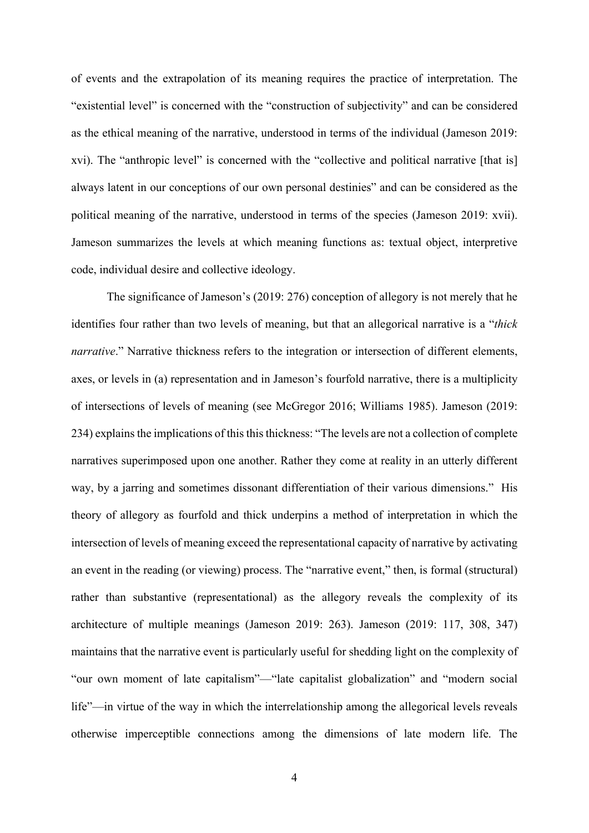of events and the extrapolation of its meaning requires the practice of interpretation. The "existential level" is concerned with the "construction of subjectivity" and can be considered as the ethical meaning of the narrative, understood in terms of the individual (Jameson 2019: xvi). The "anthropic level" is concerned with the "collective and political narrative [that is] always latent in our conceptions of our own personal destinies" and can be considered as the political meaning of the narrative, understood in terms of the species (Jameson 2019: xvii). Jameson summarizes the levels at which meaning functions as: textual object, interpretive code, individual desire and collective ideology.

 The significance of Jameson's (2019: 276) conception of allegory is not merely that he identifies four rather than two levels of meaning, but that an allegorical narrative is a "thick narrative." Narrative thickness refers to the integration or intersection of different elements, axes, or levels in (a) representation and in Jameson's fourfold narrative, there is a multiplicity of intersections of levels of meaning (see McGregor 2016; Williams 1985). Jameson (2019: 234) explains the implications of this this thickness: "The levels are not a collection of complete narratives superimposed upon one another. Rather they come at reality in an utterly different way, by a jarring and sometimes dissonant differentiation of their various dimensions." His theory of allegory as fourfold and thick underpins a method of interpretation in which the intersection of levels of meaning exceed the representational capacity of narrative by activating an event in the reading (or viewing) process. The "narrative event," then, is formal (structural) rather than substantive (representational) as the allegory reveals the complexity of its architecture of multiple meanings (Jameson 2019: 263). Jameson (2019: 117, 308, 347) maintains that the narrative event is particularly useful for shedding light on the complexity of "our own moment of late capitalism"—"late capitalist globalization" and "modern social life"—in virtue of the way in which the interrelationship among the allegorical levels reveals otherwise imperceptible connections among the dimensions of late modern life. The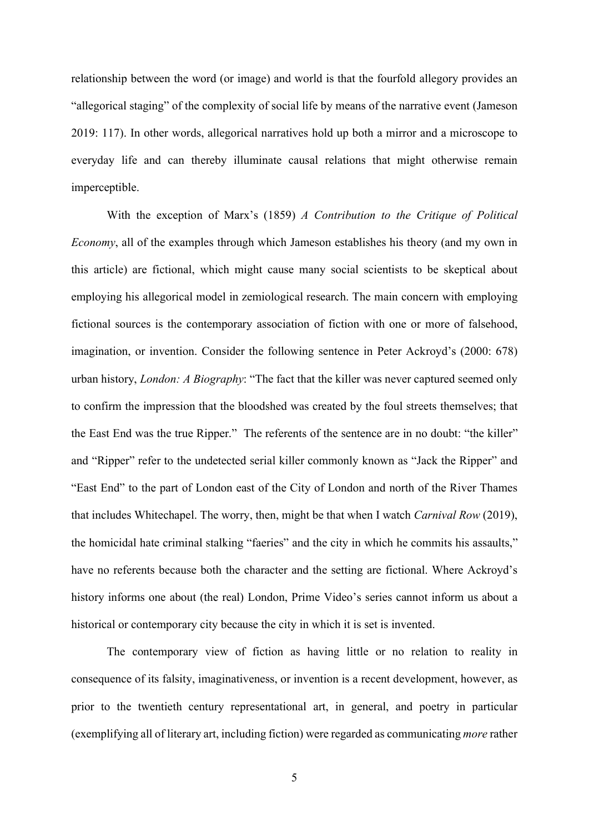relationship between the word (or image) and world is that the fourfold allegory provides an "allegorical staging" of the complexity of social life by means of the narrative event (Jameson 2019: 117). In other words, allegorical narratives hold up both a mirror and a microscope to everyday life and can thereby illuminate causal relations that might otherwise remain imperceptible.

 With the exception of Marx's (1859) A Contribution to the Critique of Political Economy, all of the examples through which Jameson establishes his theory (and my own in this article) are fictional, which might cause many social scientists to be skeptical about employing his allegorical model in zemiological research. The main concern with employing fictional sources is the contemporary association of fiction with one or more of falsehood, imagination, or invention. Consider the following sentence in Peter Ackroyd's (2000: 678) urban history, *London: A Biography*: "The fact that the killer was never captured seemed only to confirm the impression that the bloodshed was created by the foul streets themselves; that the East End was the true Ripper." The referents of the sentence are in no doubt: "the killer" and "Ripper" refer to the undetected serial killer commonly known as "Jack the Ripper" and "East End" to the part of London east of the City of London and north of the River Thames that includes Whitechapel. The worry, then, might be that when I watch Carnival Row (2019), the homicidal hate criminal stalking "faeries" and the city in which he commits his assaults," have no referents because both the character and the setting are fictional. Where Ackroyd's history informs one about (the real) London, Prime Video's series cannot inform us about a historical or contemporary city because the city in which it is set is invented.

 The contemporary view of fiction as having little or no relation to reality in consequence of its falsity, imaginativeness, or invention is a recent development, however, as prior to the twentieth century representational art, in general, and poetry in particular (exemplifying all of literary art, including fiction) were regarded as communicating more rather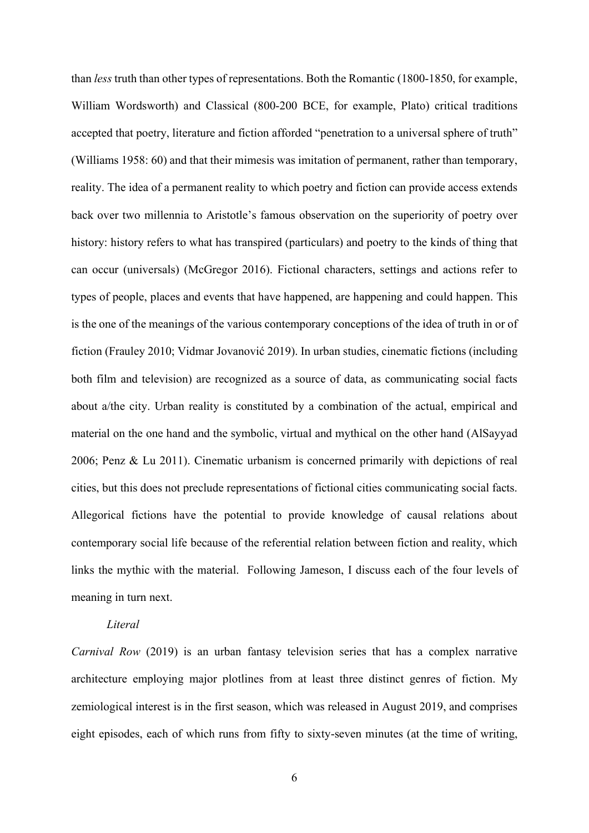than less truth than other types of representations. Both the Romantic (1800-1850, for example, William Wordsworth) and Classical (800-200 BCE, for example, Plato) critical traditions accepted that poetry, literature and fiction afforded "penetration to a universal sphere of truth" (Williams 1958: 60) and that their mimesis was imitation of permanent, rather than temporary, reality. The idea of a permanent reality to which poetry and fiction can provide access extends back over two millennia to Aristotle's famous observation on the superiority of poetry over history: history refers to what has transpired (particulars) and poetry to the kinds of thing that can occur (universals) (McGregor 2016). Fictional characters, settings and actions refer to types of people, places and events that have happened, are happening and could happen. This is the one of the meanings of the various contemporary conceptions of the idea of truth in or of fiction (Frauley 2010; Vidmar Jovanović 2019). In urban studies, cinematic fictions (including both film and television) are recognized as a source of data, as communicating social facts about a/the city. Urban reality is constituted by a combination of the actual, empirical and material on the one hand and the symbolic, virtual and mythical on the other hand (AlSayyad 2006; Penz & Lu 2011). Cinematic urbanism is concerned primarily with depictions of real cities, but this does not preclude representations of fictional cities communicating social facts. Allegorical fictions have the potential to provide knowledge of causal relations about contemporary social life because of the referential relation between fiction and reality, which links the mythic with the material. Following Jameson, I discuss each of the four levels of meaning in turn next.

# Literal

Carnival Row (2019) is an urban fantasy television series that has a complex narrative architecture employing major plotlines from at least three distinct genres of fiction. My zemiological interest is in the first season, which was released in August 2019, and comprises eight episodes, each of which runs from fifty to sixty-seven minutes (at the time of writing,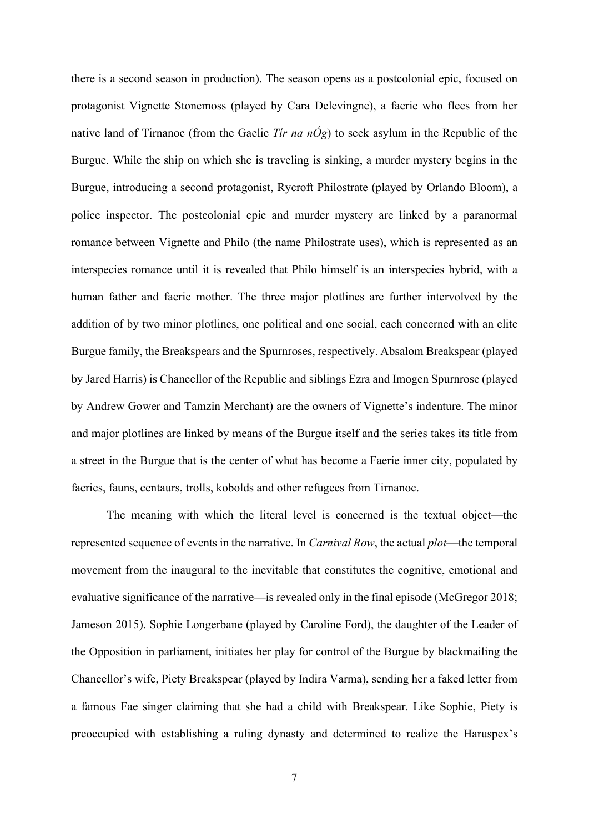there is a second season in production). The season opens as a postcolonial epic, focused on protagonist Vignette Stonemoss (played by Cara Delevingne), a faerie who flees from her native land of Tirnanoc (from the Gaelic Tir na  $n\acute{O}g$ ) to seek asylum in the Republic of the Burgue. While the ship on which she is traveling is sinking, a murder mystery begins in the Burgue, introducing a second protagonist, Rycroft Philostrate (played by Orlando Bloom), a police inspector. The postcolonial epic and murder mystery are linked by a paranormal romance between Vignette and Philo (the name Philostrate uses), which is represented as an interspecies romance until it is revealed that Philo himself is an interspecies hybrid, with a human father and faerie mother. The three major plotlines are further intervolved by the addition of by two minor plotlines, one political and one social, each concerned with an elite Burgue family, the Breakspears and the Spurnroses, respectively. Absalom Breakspear (played by Jared Harris) is Chancellor of the Republic and siblings Ezra and Imogen Spurnrose (played by Andrew Gower and Tamzin Merchant) are the owners of Vignette's indenture. The minor and major plotlines are linked by means of the Burgue itself and the series takes its title from a street in the Burgue that is the center of what has become a Faerie inner city, populated by faeries, fauns, centaurs, trolls, kobolds and other refugees from Tirnanoc.

 The meaning with which the literal level is concerned is the textual object—the represented sequence of events in the narrative. In Carnival Row, the actual plot—the temporal movement from the inaugural to the inevitable that constitutes the cognitive, emotional and evaluative significance of the narrative—is revealed only in the final episode (McGregor 2018; Jameson 2015). Sophie Longerbane (played by Caroline Ford), the daughter of the Leader of the Opposition in parliament, initiates her play for control of the Burgue by blackmailing the Chancellor's wife, Piety Breakspear (played by Indira Varma), sending her a faked letter from a famous Fae singer claiming that she had a child with Breakspear. Like Sophie, Piety is preoccupied with establishing a ruling dynasty and determined to realize the Haruspex's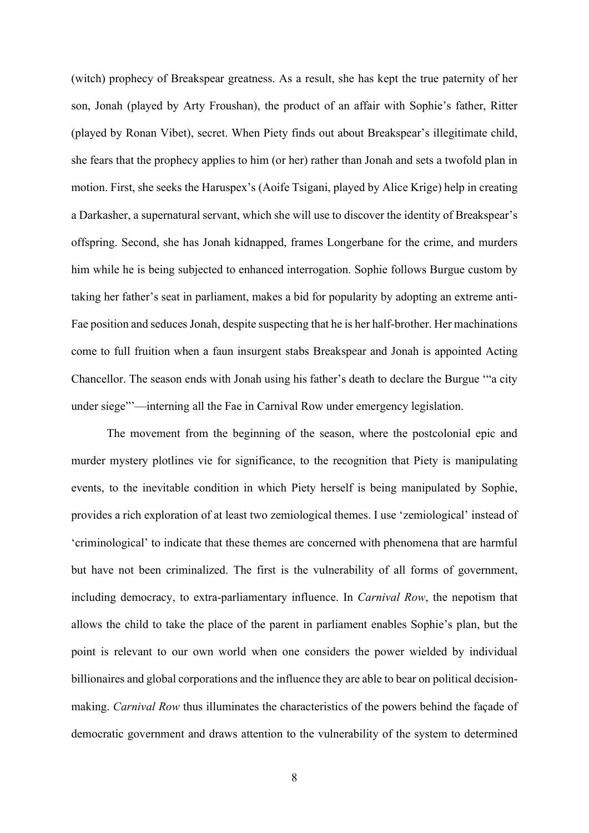(witch) prophecy of Breakspear greatness. As a result, she has kept the true paternity of her son, Jonah (played by Arty Froushan), the product of an affair with Sophie's father, Ritter (played by Ronan Vibet), secret. When Piety finds out about Breakspear's illegitimate child, she fears that the prophecy applies to him (or her) rather than Jonah and sets a twofold plan in motion. First, she seeks the Haruspex's (Aoife Tsigani, played by Alice Krige) help in creating a Darkasher, a supernatural servant, which she will use to discover the identity of Breakspear's offspring. Second, she has Jonah kidnapped, frames Longerbane for the crime, and murders him while he is being subjected to enhanced interrogation. Sophie follows Burgue custom by taking her father's seat in parliament, makes a bid for popularity by adopting an extreme anti-Fae position and seduces Jonah, despite suspecting that he is her half-brother. Her machinations come to full fruition when a faun insurgent stabs Breakspear and Jonah is appointed Acting Chancellor. The season ends with Jonah using his father's death to declare the Burgue '"a city under siege"'—interning all the Fae in Carnival Row under emergency legislation.

 The movement from the beginning of the season, where the postcolonial epic and murder mystery plotlines vie for significance, to the recognition that Piety is manipulating events, to the inevitable condition in which Piety herself is being manipulated by Sophie, provides a rich exploration of at least two zemiological themes. I use 'zemiological' instead of 'criminological' to indicate that these themes are concerned with phenomena that are harmful but have not been criminalized. The first is the vulnerability of all forms of government, including democracy, to extra-parliamentary influence. In Carnival Row, the nepotism that allows the child to take the place of the parent in parliament enables Sophie's plan, but the point is relevant to our own world when one considers the power wielded by individual billionaires and global corporations and the influence they are able to bear on political decisionmaking. Carnival Row thus illuminates the characteristics of the powers behind the façade of democratic government and draws attention to the vulnerability of the system to determined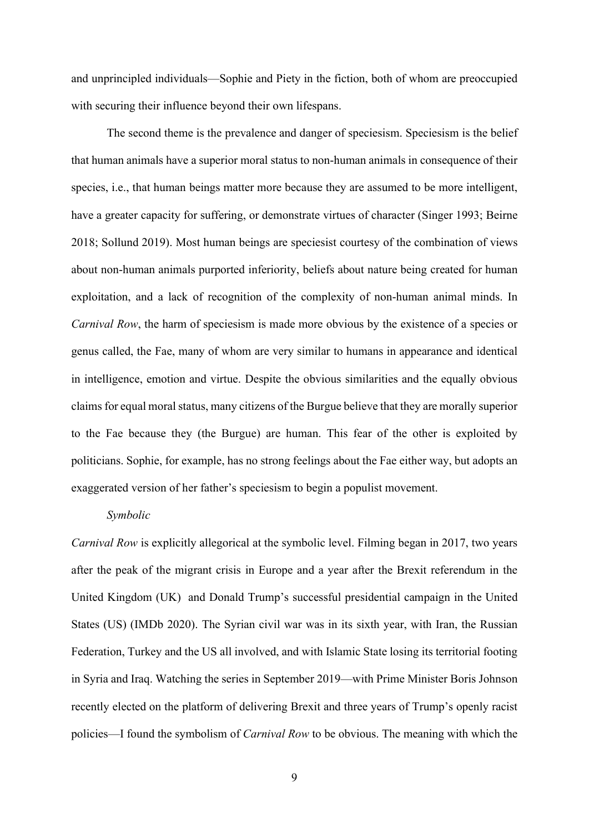and unprincipled individuals—Sophie and Piety in the fiction, both of whom are preoccupied with securing their influence beyond their own lifespans.

The second theme is the prevalence and danger of speciesism. Speciesism is the belief that human animals have a superior moral status to non-human animals in consequence of their species, i.e., that human beings matter more because they are assumed to be more intelligent, have a greater capacity for suffering, or demonstrate virtues of character (Singer 1993; Beirne 2018; Sollund 2019). Most human beings are speciesist courtesy of the combination of views about non-human animals purported inferiority, beliefs about nature being created for human exploitation, and a lack of recognition of the complexity of non-human animal minds. In Carnival Row, the harm of speciesism is made more obvious by the existence of a species or genus called, the Fae, many of whom are very similar to humans in appearance and identical in intelligence, emotion and virtue. Despite the obvious similarities and the equally obvious claims for equal moral status, many citizens of the Burgue believe that they are morally superior to the Fae because they (the Burgue) are human. This fear of the other is exploited by politicians. Sophie, for example, has no strong feelings about the Fae either way, but adopts an exaggerated version of her father's speciesism to begin a populist movement.

### Symbolic

Carnival Row is explicitly allegorical at the symbolic level. Filming began in 2017, two years after the peak of the migrant crisis in Europe and a year after the Brexit referendum in the United Kingdom (UK) and Donald Trump's successful presidential campaign in the United States (US) (IMDb 2020). The Syrian civil war was in its sixth year, with Iran, the Russian Federation, Turkey and the US all involved, and with Islamic State losing its territorial footing in Syria and Iraq. Watching the series in September 2019—with Prime Minister Boris Johnson recently elected on the platform of delivering Brexit and three years of Trump's openly racist policies—I found the symbolism of Carnival Row to be obvious. The meaning with which the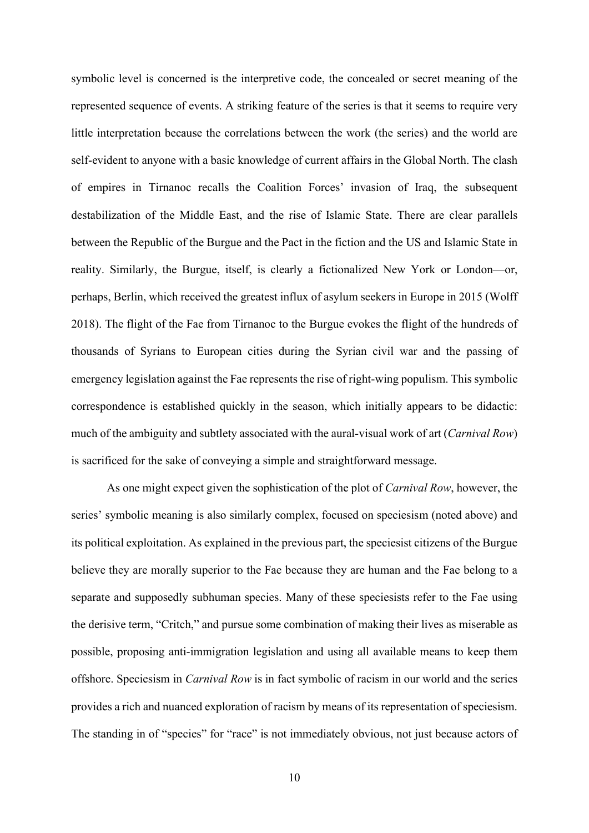symbolic level is concerned is the interpretive code, the concealed or secret meaning of the represented sequence of events. A striking feature of the series is that it seems to require very little interpretation because the correlations between the work (the series) and the world are self-evident to anyone with a basic knowledge of current affairs in the Global North. The clash of empires in Tirnanoc recalls the Coalition Forces' invasion of Iraq, the subsequent destabilization of the Middle East, and the rise of Islamic State. There are clear parallels between the Republic of the Burgue and the Pact in the fiction and the US and Islamic State in reality. Similarly, the Burgue, itself, is clearly a fictionalized New York or London—or, perhaps, Berlin, which received the greatest influx of asylum seekers in Europe in 2015 (Wolff 2018). The flight of the Fae from Tirnanoc to the Burgue evokes the flight of the hundreds of thousands of Syrians to European cities during the Syrian civil war and the passing of emergency legislation against the Fae represents the rise of right-wing populism. This symbolic correspondence is established quickly in the season, which initially appears to be didactic: much of the ambiguity and subtlety associated with the aural-visual work of art (*Carnival Row*) is sacrificed for the sake of conveying a simple and straightforward message.

As one might expect given the sophistication of the plot of *Carnival Row*, however, the series' symbolic meaning is also similarly complex, focused on speciesism (noted above) and its political exploitation. As explained in the previous part, the speciesist citizens of the Burgue believe they are morally superior to the Fae because they are human and the Fae belong to a separate and supposedly subhuman species. Many of these speciesists refer to the Fae using the derisive term, "Critch," and pursue some combination of making their lives as miserable as possible, proposing anti-immigration legislation and using all available means to keep them offshore. Speciesism in Carnival Row is in fact symbolic of racism in our world and the series provides a rich and nuanced exploration of racism by means of its representation of speciesism. The standing in of "species" for "race" is not immediately obvious, not just because actors of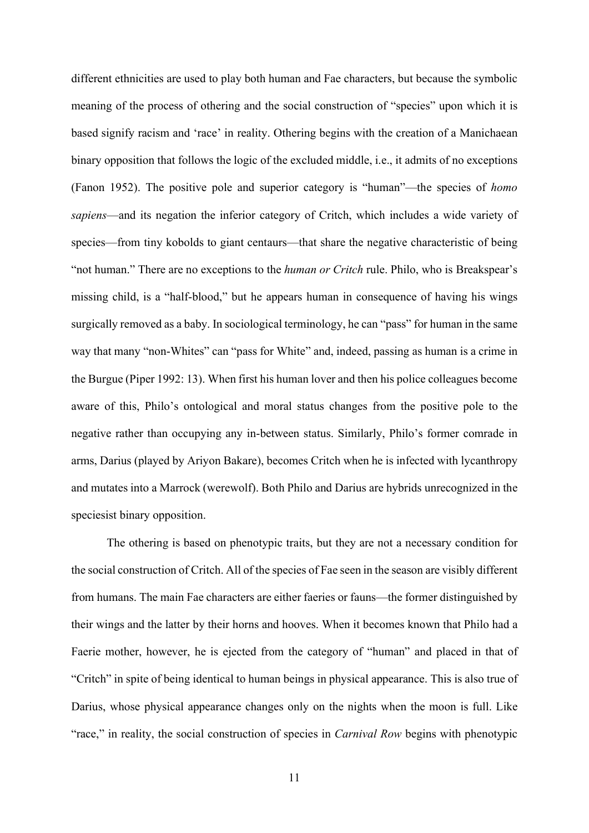different ethnicities are used to play both human and Fae characters, but because the symbolic meaning of the process of othering and the social construction of "species" upon which it is based signify racism and 'race' in reality. Othering begins with the creation of a Manichaean binary opposition that follows the logic of the excluded middle, i.e., it admits of no exceptions (Fanon 1952). The positive pole and superior category is "human"—the species of homo sapiens—and its negation the inferior category of Critch, which includes a wide variety of species—from tiny kobolds to giant centaurs—that share the negative characteristic of being "not human." There are no exceptions to the human or Critch rule. Philo, who is Breakspear's missing child, is a "half-blood," but he appears human in consequence of having his wings surgically removed as a baby. In sociological terminology, he can "pass" for human in the same way that many "non-Whites" can "pass for White" and, indeed, passing as human is a crime in the Burgue (Piper 1992: 13). When first his human lover and then his police colleagues become aware of this, Philo's ontological and moral status changes from the positive pole to the negative rather than occupying any in-between status. Similarly, Philo's former comrade in arms, Darius (played by Ariyon Bakare), becomes Critch when he is infected with lycanthropy and mutates into a Marrock (werewolf). Both Philo and Darius are hybrids unrecognized in the speciesist binary opposition.

 The othering is based on phenotypic traits, but they are not a necessary condition for the social construction of Critch. All of the species of Fae seen in the season are visibly different from humans. The main Fae characters are either faeries or fauns—the former distinguished by their wings and the latter by their horns and hooves. When it becomes known that Philo had a Faerie mother, however, he is ejected from the category of "human" and placed in that of "Critch" in spite of being identical to human beings in physical appearance. This is also true of Darius, whose physical appearance changes only on the nights when the moon is full. Like "race," in reality, the social construction of species in *Carnival Row* begins with phenotypic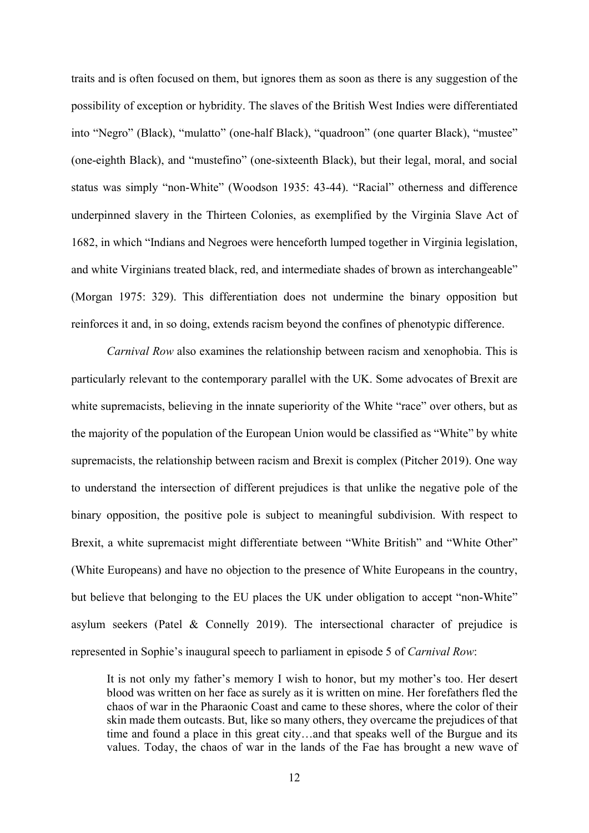traits and is often focused on them, but ignores them as soon as there is any suggestion of the possibility of exception or hybridity. The slaves of the British West Indies were differentiated into "Negro" (Black), "mulatto" (one-half Black), "quadroon" (one quarter Black), "mustee" (one-eighth Black), and "mustefino" (one-sixteenth Black), but their legal, moral, and social status was simply "non-White" (Woodson 1935: 43-44). "Racial" otherness and difference underpinned slavery in the Thirteen Colonies, as exemplified by the Virginia Slave Act of 1682, in which "Indians and Negroes were henceforth lumped together in Virginia legislation, and white Virginians treated black, red, and intermediate shades of brown as interchangeable" (Morgan 1975: 329). This differentiation does not undermine the binary opposition but reinforces it and, in so doing, extends racism beyond the confines of phenotypic difference.

 Carnival Row also examines the relationship between racism and xenophobia. This is particularly relevant to the contemporary parallel with the UK. Some advocates of Brexit are white supremacists, believing in the innate superiority of the White "race" over others, but as the majority of the population of the European Union would be classified as "White" by white supremacists, the relationship between racism and Brexit is complex (Pitcher 2019). One way to understand the intersection of different prejudices is that unlike the negative pole of the binary opposition, the positive pole is subject to meaningful subdivision. With respect to Brexit, a white supremacist might differentiate between "White British" and "White Other" (White Europeans) and have no objection to the presence of White Europeans in the country, but believe that belonging to the EU places the UK under obligation to accept "non-White" asylum seekers (Patel & Connelly 2019). The intersectional character of prejudice is represented in Sophie's inaugural speech to parliament in episode 5 of Carnival Row:

It is not only my father's memory I wish to honor, but my mother's too. Her desert blood was written on her face as surely as it is written on mine. Her forefathers fled the chaos of war in the Pharaonic Coast and came to these shores, where the color of their skin made them outcasts. But, like so many others, they overcame the prejudices of that time and found a place in this great city…and that speaks well of the Burgue and its values. Today, the chaos of war in the lands of the Fae has brought a new wave of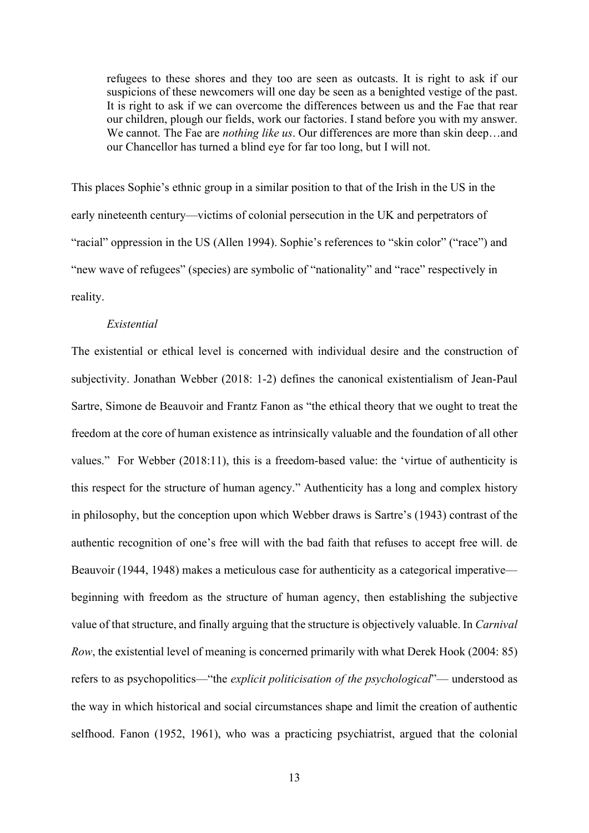refugees to these shores and they too are seen as outcasts. It is right to ask if our suspicions of these newcomers will one day be seen as a benighted vestige of the past. It is right to ask if we can overcome the differences between us and the Fae that rear our children, plough our fields, work our factories. I stand before you with my answer. We cannot. The Fae are *nothing like us*. Our differences are more than skin deep...and our Chancellor has turned a blind eye for far too long, but I will not.

This places Sophie's ethnic group in a similar position to that of the Irish in the US in the early nineteenth century—victims of colonial persecution in the UK and perpetrators of "racial" oppression in the US (Allen 1994). Sophie's references to "skin color" ("race") and "new wave of refugees" (species) are symbolic of "nationality" and "race" respectively in reality.

#### Existential

The existential or ethical level is concerned with individual desire and the construction of subjectivity. Jonathan Webber (2018: 1-2) defines the canonical existentialism of Jean-Paul Sartre, Simone de Beauvoir and Frantz Fanon as "the ethical theory that we ought to treat the freedom at the core of human existence as intrinsically valuable and the foundation of all other values." For Webber (2018:11), this is a freedom-based value: the 'virtue of authenticity is this respect for the structure of human agency." Authenticity has a long and complex history in philosophy, but the conception upon which Webber draws is Sartre's (1943) contrast of the authentic recognition of one's free will with the bad faith that refuses to accept free will. de Beauvoir (1944, 1948) makes a meticulous case for authenticity as a categorical imperative beginning with freedom as the structure of human agency, then establishing the subjective value of that structure, and finally arguing that the structure is objectively valuable. In Carnival Row, the existential level of meaning is concerned primarily with what Derek Hook (2004: 85) refers to as psychopolitics—"the explicit politicisation of the psychological"— understood as the way in which historical and social circumstances shape and limit the creation of authentic selfhood. Fanon (1952, 1961), who was a practicing psychiatrist, argued that the colonial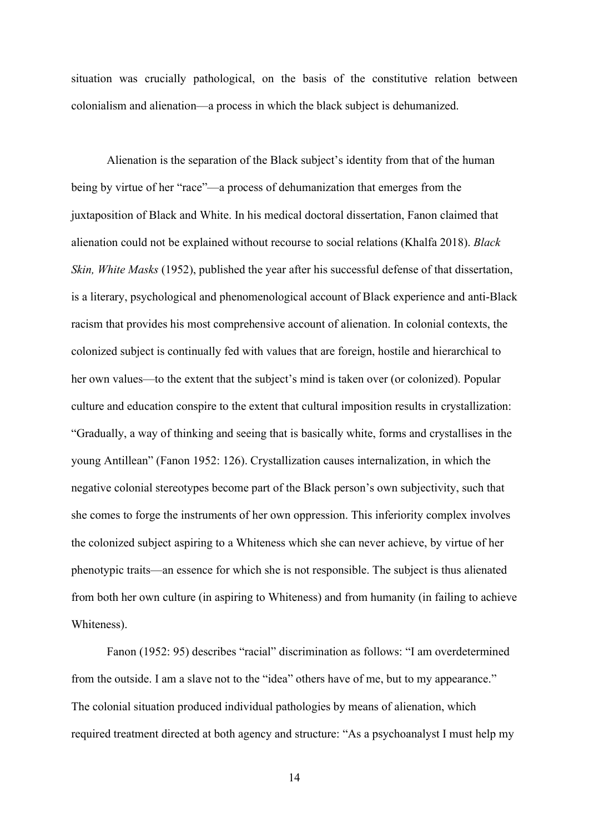situation was crucially pathological, on the basis of the constitutive relation between colonialism and alienation—a process in which the black subject is dehumanized.

Alienation is the separation of the Black subject's identity from that of the human being by virtue of her "race"—a process of dehumanization that emerges from the juxtaposition of Black and White. In his medical doctoral dissertation, Fanon claimed that alienation could not be explained without recourse to social relations (Khalfa 2018). Black Skin, White Masks (1952), published the year after his successful defense of that dissertation, is a literary, psychological and phenomenological account of Black experience and anti-Black racism that provides his most comprehensive account of alienation. In colonial contexts, the colonized subject is continually fed with values that are foreign, hostile and hierarchical to her own values—to the extent that the subject's mind is taken over (or colonized). Popular culture and education conspire to the extent that cultural imposition results in crystallization: "Gradually, a way of thinking and seeing that is basically white, forms and crystallises in the young Antillean" (Fanon 1952: 126). Crystallization causes internalization, in which the negative colonial stereotypes become part of the Black person's own subjectivity, such that she comes to forge the instruments of her own oppression. This inferiority complex involves the colonized subject aspiring to a Whiteness which she can never achieve, by virtue of her phenotypic traits—an essence for which she is not responsible. The subject is thus alienated from both her own culture (in aspiring to Whiteness) and from humanity (in failing to achieve Whiteness).

Fanon (1952: 95) describes "racial" discrimination as follows: "I am overdetermined from the outside. I am a slave not to the "idea" others have of me, but to my appearance." The colonial situation produced individual pathologies by means of alienation, which required treatment directed at both agency and structure: "As a psychoanalyst I must help my

14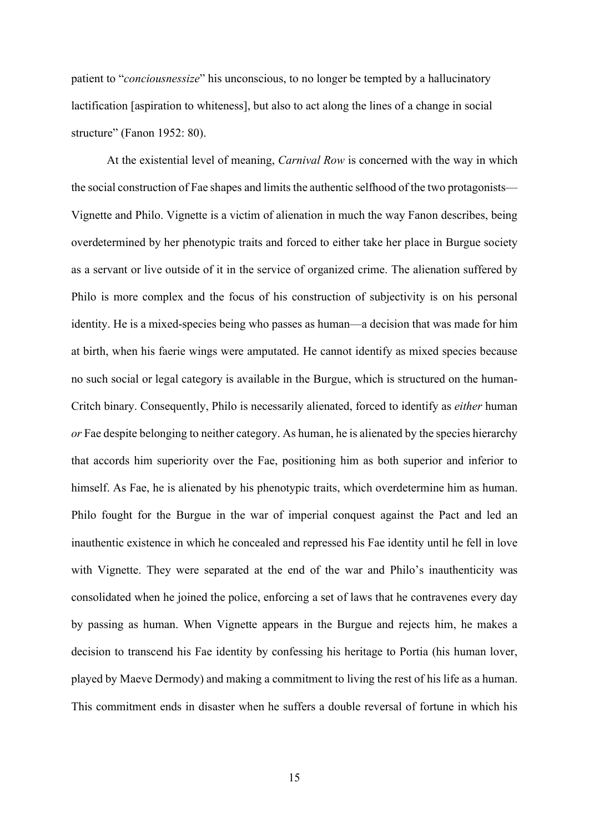patient to "conciousnessize" his unconscious, to no longer be tempted by a hallucinatory lactification [aspiration to whiteness], but also to act along the lines of a change in social structure" (Fanon 1952: 80).

At the existential level of meaning, Carnival Row is concerned with the way in which the social construction of Fae shapes and limits the authentic selfhood of the two protagonists— Vignette and Philo. Vignette is a victim of alienation in much the way Fanon describes, being overdetermined by her phenotypic traits and forced to either take her place in Burgue society as a servant or live outside of it in the service of organized crime. The alienation suffered by Philo is more complex and the focus of his construction of subjectivity is on his personal identity. He is a mixed-species being who passes as human—a decision that was made for him at birth, when his faerie wings were amputated. He cannot identify as mixed species because no such social or legal category is available in the Burgue, which is structured on the human-Critch binary. Consequently, Philo is necessarily alienated, forced to identify as either human or Fae despite belonging to neither category. As human, he is alienated by the species hierarchy that accords him superiority over the Fae, positioning him as both superior and inferior to himself. As Fae, he is alienated by his phenotypic traits, which overdetermine him as human. Philo fought for the Burgue in the war of imperial conquest against the Pact and led an inauthentic existence in which he concealed and repressed his Fae identity until he fell in love with Vignette. They were separated at the end of the war and Philo's inauthenticity was consolidated when he joined the police, enforcing a set of laws that he contravenes every day by passing as human. When Vignette appears in the Burgue and rejects him, he makes a decision to transcend his Fae identity by confessing his heritage to Portia (his human lover, played by Maeve Dermody) and making a commitment to living the rest of his life as a human. This commitment ends in disaster when he suffers a double reversal of fortune in which his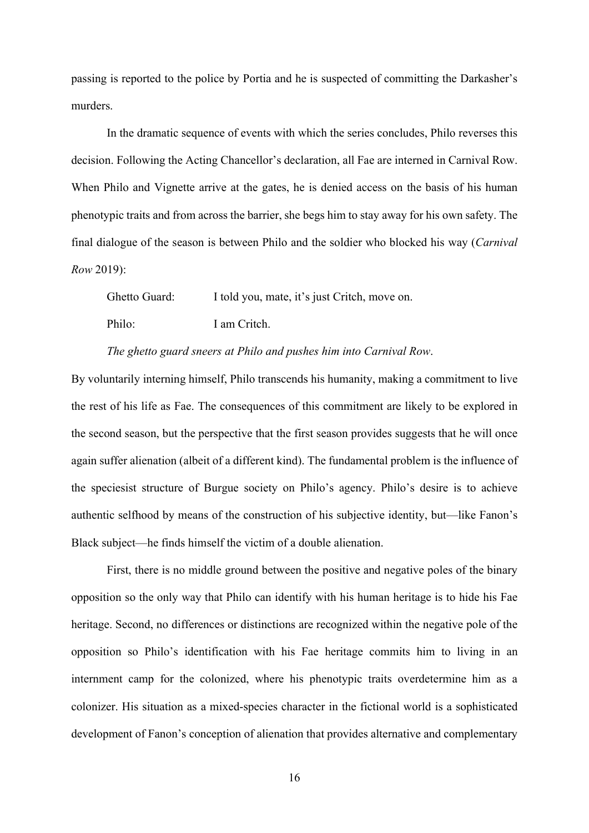passing is reported to the police by Portia and he is suspected of committing the Darkasher's murders.

In the dramatic sequence of events with which the series concludes, Philo reverses this decision. Following the Acting Chancellor's declaration, all Fae are interned in Carnival Row. When Philo and Vignette arrive at the gates, he is denied access on the basis of his human phenotypic traits and from across the barrier, she begs him to stay away for his own safety. The final dialogue of the season is between Philo and the soldier who blocked his way (Carnival Row 2019):

Ghetto Guard: I told you, mate, it's just Critch, move on. Philo: I am Critch.

The ghetto guard sneers at Philo and pushes him into Carnival Row.

By voluntarily interning himself, Philo transcends his humanity, making a commitment to live the rest of his life as Fae. The consequences of this commitment are likely to be explored in the second season, but the perspective that the first season provides suggests that he will once again suffer alienation (albeit of a different kind). The fundamental problem is the influence of the speciesist structure of Burgue society on Philo's agency. Philo's desire is to achieve authentic selfhood by means of the construction of his subjective identity, but—like Fanon's Black subject—he finds himself the victim of a double alienation.

First, there is no middle ground between the positive and negative poles of the binary opposition so the only way that Philo can identify with his human heritage is to hide his Fae heritage. Second, no differences or distinctions are recognized within the negative pole of the opposition so Philo's identification with his Fae heritage commits him to living in an internment camp for the colonized, where his phenotypic traits overdetermine him as a colonizer. His situation as a mixed-species character in the fictional world is a sophisticated development of Fanon's conception of alienation that provides alternative and complementary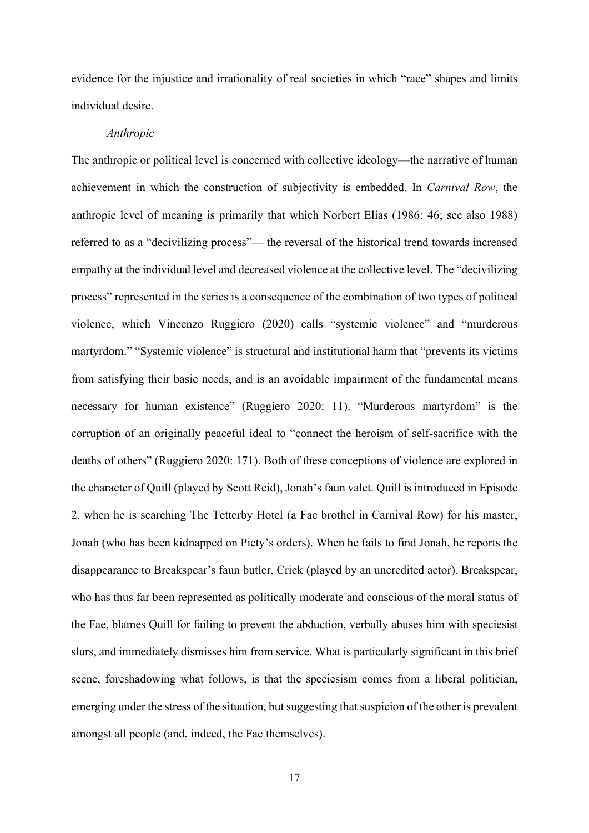evidence for the injustice and irrationality of real societies in which "race" shapes and limits individual desire.

#### Anthropic

The anthropic or political level is concerned with collective ideology—the narrative of human achievement in which the construction of subjectivity is embedded. In Carnival Row, the anthropic level of meaning is primarily that which Norbert Elias (1986: 46; see also 1988) referred to as a "decivilizing process"— the reversal of the historical trend towards increased empathy at the individual level and decreased violence at the collective level. The "decivilizing process" represented in the series is a consequence of the combination of two types of political violence, which Vincenzo Ruggiero (2020) calls "systemic violence" and "murderous martyrdom." "Systemic violence" is structural and institutional harm that "prevents its victims from satisfying their basic needs, and is an avoidable impairment of the fundamental means necessary for human existence" (Ruggiero 2020: 11). "Murderous martyrdom" is the corruption of an originally peaceful ideal to "connect the heroism of self-sacrifice with the deaths of others" (Ruggiero 2020: 171). Both of these conceptions of violence are explored in the character of Quill (played by Scott Reid), Jonah's faun valet. Quill is introduced in Episode 2, when he is searching The Tetterby Hotel (a Fae brothel in Carnival Row) for his master, Jonah (who has been kidnapped on Piety's orders). When he fails to find Jonah, he reports the disappearance to Breakspear's faun butler, Crick (played by an uncredited actor). Breakspear, who has thus far been represented as politically moderate and conscious of the moral status of the Fae, blames Quill for failing to prevent the abduction, verbally abuses him with speciesist slurs, and immediately dismisses him from service. What is particularly significant in this brief scene, foreshadowing what follows, is that the speciesism comes from a liberal politician, emerging under the stress of the situation, but suggesting that suspicion of the other is prevalent amongst all people (and, indeed, the Fae themselves).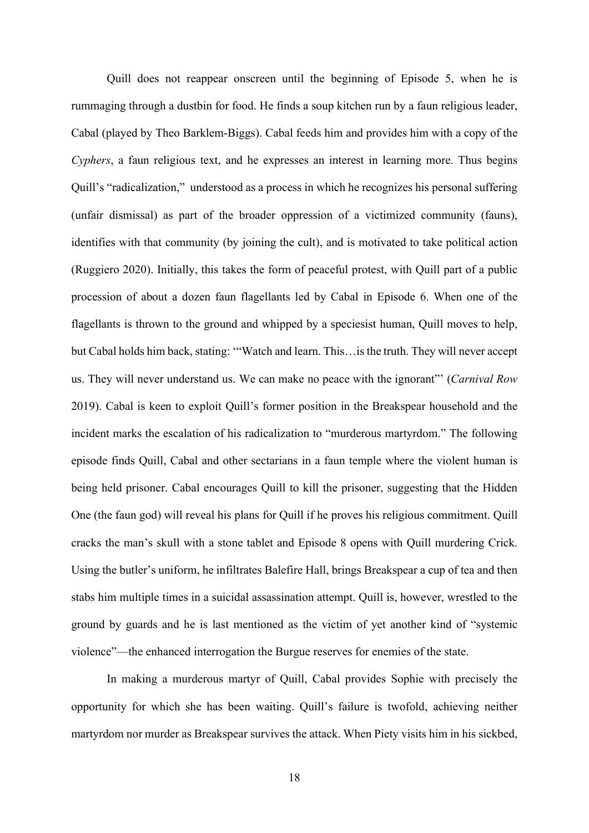Quill does not reappear onscreen until the beginning of Episode 5, when he is rummaging through a dustbin for food. He finds a soup kitchen run by a faun religious leader, Cabal (played by Theo Barklem-Biggs). Cabal feeds him and provides him with a copy of the Cyphers, a faun religious text, and he expresses an interest in learning more. Thus begins Quill's "radicalization," understood as a process in which he recognizes his personal suffering (unfair dismissal) as part of the broader oppression of a victimized community (fauns), identifies with that community (by joining the cult), and is motivated to take political action (Ruggiero 2020). Initially, this takes the form of peaceful protest, with Quill part of a public procession of about a dozen faun flagellants led by Cabal in Episode 6. When one of the flagellants is thrown to the ground and whipped by a speciesist human, Quill moves to help, but Cabal holds him back, stating: '"Watch and learn. This…is the truth. They will never accept us. They will never understand us. We can make no peace with the ignorant" (Carnival Row 2019). Cabal is keen to exploit Quill's former position in the Breakspear household and the incident marks the escalation of his radicalization to "murderous martyrdom." The following episode finds Quill, Cabal and other sectarians in a faun temple where the violent human is being held prisoner. Cabal encourages Quill to kill the prisoner, suggesting that the Hidden One (the faun god) will reveal his plans for Quill if he proves his religious commitment. Quill cracks the man's skull with a stone tablet and Episode 8 opens with Quill murdering Crick. Using the butler's uniform, he infiltrates Balefire Hall, brings Breakspear a cup of tea and then stabs him multiple times in a suicidal assassination attempt. Quill is, however, wrestled to the ground by guards and he is last mentioned as the victim of yet another kind of "systemic violence"—the enhanced interrogation the Burgue reserves for enemies of the state.

 In making a murderous martyr of Quill, Cabal provides Sophie with precisely the opportunity for which she has been waiting. Quill's failure is twofold, achieving neither martyrdom nor murder as Breakspear survives the attack. When Piety visits him in his sickbed,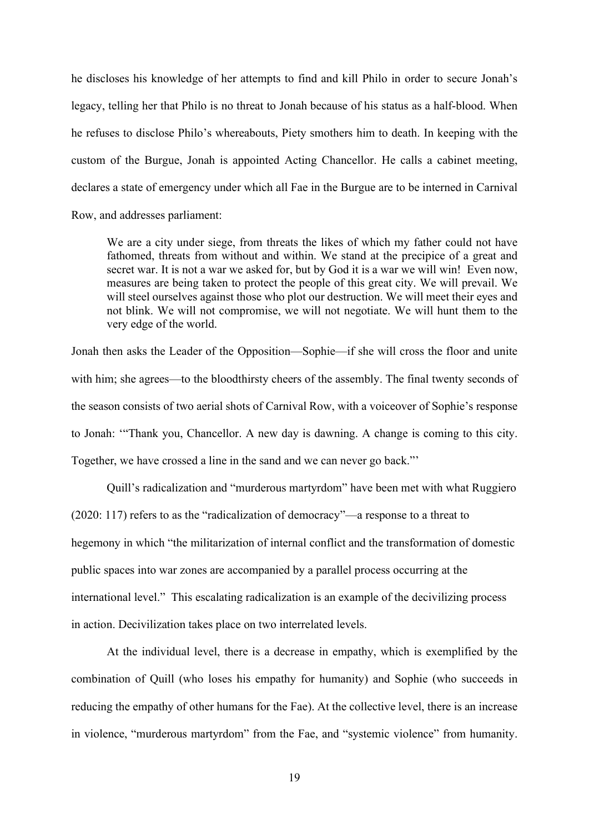he discloses his knowledge of her attempts to find and kill Philo in order to secure Jonah's legacy, telling her that Philo is no threat to Jonah because of his status as a half-blood. When he refuses to disclose Philo's whereabouts, Piety smothers him to death. In keeping with the custom of the Burgue, Jonah is appointed Acting Chancellor. He calls a cabinet meeting, declares a state of emergency under which all Fae in the Burgue are to be interned in Carnival Row, and addresses parliament:

We are a city under siege, from threats the likes of which my father could not have fathomed, threats from without and within. We stand at the precipice of a great and secret war. It is not a war we asked for, but by God it is a war we will win! Even now, measures are being taken to protect the people of this great city. We will prevail. We will steel ourselves against those who plot our destruction. We will meet their eyes and not blink. We will not compromise, we will not negotiate. We will hunt them to the very edge of the world.

Jonah then asks the Leader of the Opposition—Sophie—if she will cross the floor and unite with him; she agrees—to the bloodthirsty cheers of the assembly. The final twenty seconds of the season consists of two aerial shots of Carnival Row, with a voiceover of Sophie's response to Jonah: '"Thank you, Chancellor. A new day is dawning. A change is coming to this city. Together, we have crossed a line in the sand and we can never go back."'

 Quill's radicalization and "murderous martyrdom" have been met with what Ruggiero (2020: 117) refers to as the "radicalization of democracy"—a response to a threat to hegemony in which "the militarization of internal conflict and the transformation of domestic public spaces into war zones are accompanied by a parallel process occurring at the international level." This escalating radicalization is an example of the decivilizing process in action. Decivilization takes place on two interrelated levels.

At the individual level, there is a decrease in empathy, which is exemplified by the combination of Quill (who loses his empathy for humanity) and Sophie (who succeeds in reducing the empathy of other humans for the Fae). At the collective level, there is an increase in violence, "murderous martyrdom" from the Fae, and "systemic violence" from humanity.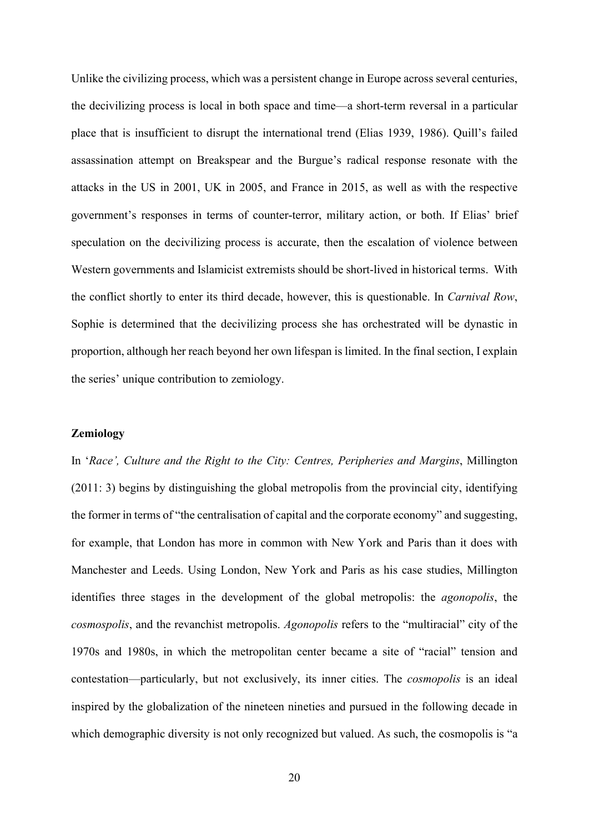Unlike the civilizing process, which was a persistent change in Europe across several centuries, the decivilizing process is local in both space and time—a short-term reversal in a particular place that is insufficient to disrupt the international trend (Elias 1939, 1986). Quill's failed assassination attempt on Breakspear and the Burgue's radical response resonate with the attacks in the US in 2001, UK in 2005, and France in 2015, as well as with the respective government's responses in terms of counter-terror, military action, or both. If Elias' brief speculation on the decivilizing process is accurate, then the escalation of violence between Western governments and Islamicist extremists should be short-lived in historical terms. With the conflict shortly to enter its third decade, however, this is questionable. In Carnival Row, Sophie is determined that the decivilizing process she has orchestrated will be dynastic in proportion, although her reach beyond her own lifespan is limited. In the final section, I explain the series' unique contribution to zemiology.

## **Zemiology**

In 'Race', Culture and the Right to the City: Centres, Peripheries and Margins, Millington (2011: 3) begins by distinguishing the global metropolis from the provincial city, identifying the former in terms of "the centralisation of capital and the corporate economy" and suggesting, for example, that London has more in common with New York and Paris than it does with Manchester and Leeds. Using London, New York and Paris as his case studies, Millington identifies three stages in the development of the global metropolis: the agonopolis, the cosmospolis, and the revanchist metropolis. Agonopolis refers to the "multiracial" city of the 1970s and 1980s, in which the metropolitan center became a site of "racial" tension and contestation—particularly, but not exclusively, its inner cities. The cosmopolis is an ideal inspired by the globalization of the nineteen nineties and pursued in the following decade in which demographic diversity is not only recognized but valued. As such, the cosmopolis is "a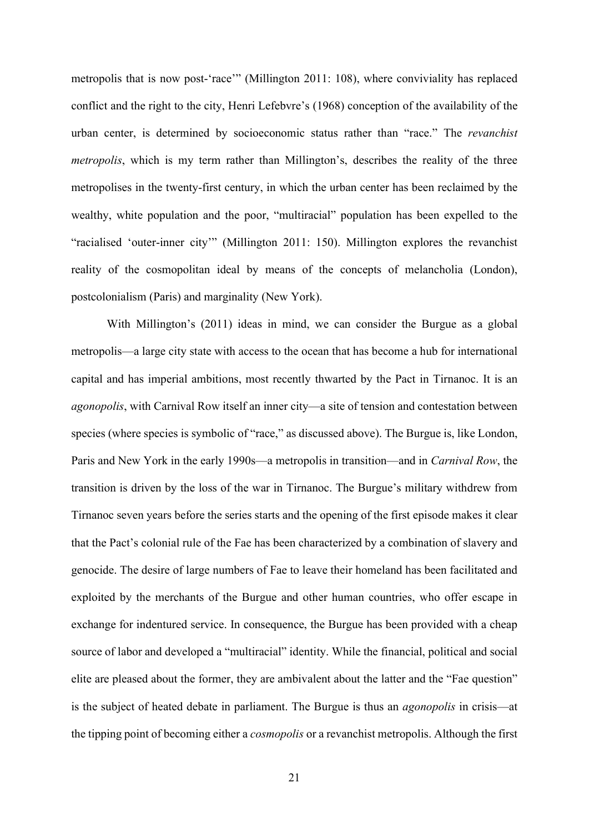metropolis that is now post-'race'" (Millington 2011: 108), where conviviality has replaced conflict and the right to the city, Henri Lefebvre's (1968) conception of the availability of the urban center, is determined by socioeconomic status rather than "race." The *revanchist* metropolis, which is my term rather than Millington's, describes the reality of the three metropolises in the twenty-first century, in which the urban center has been reclaimed by the wealthy, white population and the poor, "multiracial" population has been expelled to the "racialised 'outer-inner city'" (Millington 2011: 150). Millington explores the revanchist reality of the cosmopolitan ideal by means of the concepts of melancholia (London), postcolonialism (Paris) and marginality (New York).

 With Millington's (2011) ideas in mind, we can consider the Burgue as a global metropolis—a large city state with access to the ocean that has become a hub for international capital and has imperial ambitions, most recently thwarted by the Pact in Tirnanoc. It is an agonopolis, with Carnival Row itself an inner city—a site of tension and contestation between species (where species is symbolic of "race," as discussed above). The Burgue is, like London, Paris and New York in the early 1990s—a metropolis in transition—and in *Carnival Row*, the transition is driven by the loss of the war in Tirnanoc. The Burgue's military withdrew from Tirnanoc seven years before the series starts and the opening of the first episode makes it clear that the Pact's colonial rule of the Fae has been characterized by a combination of slavery and genocide. The desire of large numbers of Fae to leave their homeland has been facilitated and exploited by the merchants of the Burgue and other human countries, who offer escape in exchange for indentured service. In consequence, the Burgue has been provided with a cheap source of labor and developed a "multiracial" identity. While the financial, political and social elite are pleased about the former, they are ambivalent about the latter and the "Fae question" is the subject of heated debate in parliament. The Burgue is thus an agonopolis in crisis—at the tipping point of becoming either a cosmopolis or a revanchist metropolis. Although the first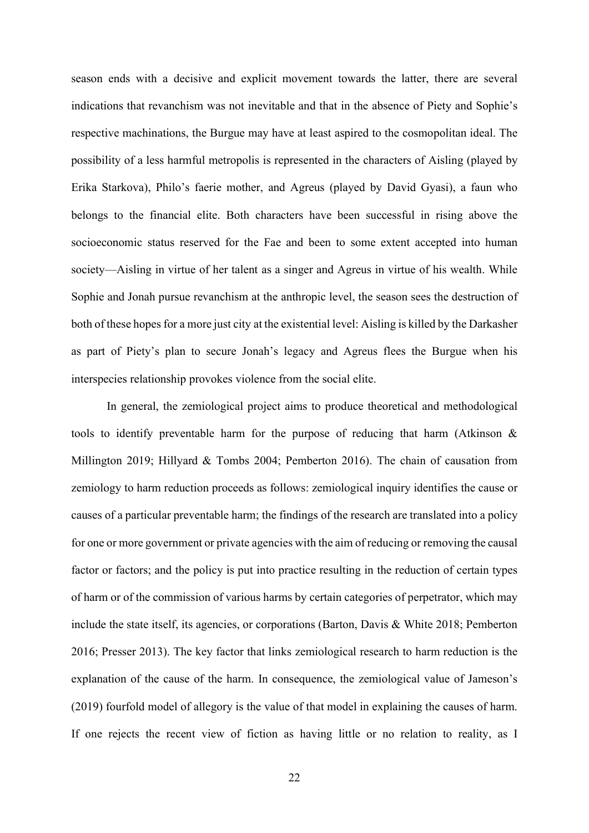season ends with a decisive and explicit movement towards the latter, there are several indications that revanchism was not inevitable and that in the absence of Piety and Sophie's respective machinations, the Burgue may have at least aspired to the cosmopolitan ideal. The possibility of a less harmful metropolis is represented in the characters of Aisling (played by Erika Starkova), Philo's faerie mother, and Agreus (played by David Gyasi), a faun who belongs to the financial elite. Both characters have been successful in rising above the socioeconomic status reserved for the Fae and been to some extent accepted into human society—Aisling in virtue of her talent as a singer and Agreus in virtue of his wealth. While Sophie and Jonah pursue revanchism at the anthropic level, the season sees the destruction of both of these hopes for a more just city at the existential level: Aisling is killed by the Darkasher as part of Piety's plan to secure Jonah's legacy and Agreus flees the Burgue when his interspecies relationship provokes violence from the social elite.

 In general, the zemiological project aims to produce theoretical and methodological tools to identify preventable harm for the purpose of reducing that harm (Atkinson & Millington 2019; Hillyard & Tombs 2004; Pemberton 2016). The chain of causation from zemiology to harm reduction proceeds as follows: zemiological inquiry identifies the cause or causes of a particular preventable harm; the findings of the research are translated into a policy for one or more government or private agencies with the aim of reducing or removing the causal factor or factors; and the policy is put into practice resulting in the reduction of certain types of harm or of the commission of various harms by certain categories of perpetrator, which may include the state itself, its agencies, or corporations (Barton, Davis & White 2018; Pemberton 2016; Presser 2013). The key factor that links zemiological research to harm reduction is the explanation of the cause of the harm. In consequence, the zemiological value of Jameson's (2019) fourfold model of allegory is the value of that model in explaining the causes of harm. If one rejects the recent view of fiction as having little or no relation to reality, as I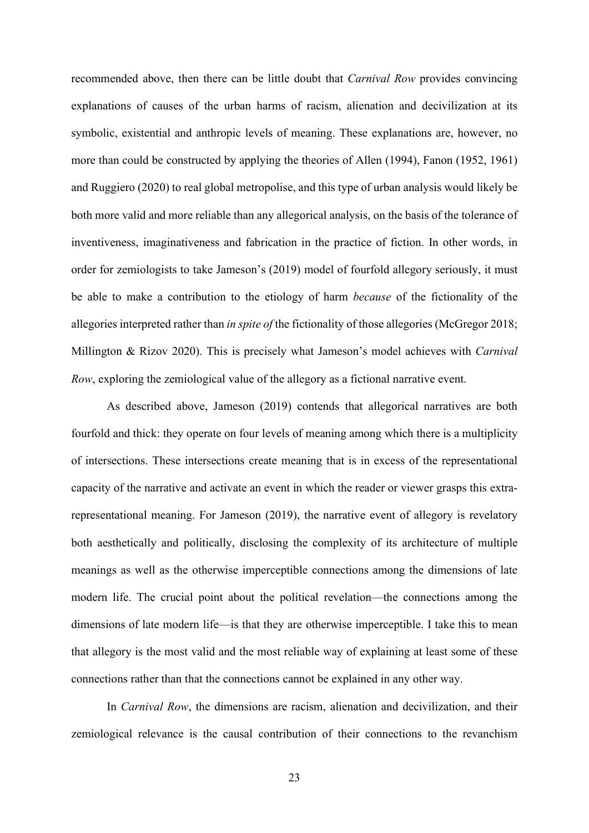recommended above, then there can be little doubt that Carnival Row provides convincing explanations of causes of the urban harms of racism, alienation and decivilization at its symbolic, existential and anthropic levels of meaning. These explanations are, however, no more than could be constructed by applying the theories of Allen (1994), Fanon (1952, 1961) and Ruggiero (2020) to real global metropolise, and this type of urban analysis would likely be both more valid and more reliable than any allegorical analysis, on the basis of the tolerance of inventiveness, imaginativeness and fabrication in the practice of fiction. In other words, in order for zemiologists to take Jameson's (2019) model of fourfold allegory seriously, it must be able to make a contribution to the etiology of harm because of the fictionality of the allegories interpreted rather than in spite of the fictionality of those allegories (McGregor 2018; Millington & Rizov 2020). This is precisely what Jameson's model achieves with *Carnival* Row, exploring the zemiological value of the allegory as a fictional narrative event.

 As described above, Jameson (2019) contends that allegorical narratives are both fourfold and thick: they operate on four levels of meaning among which there is a multiplicity of intersections. These intersections create meaning that is in excess of the representational capacity of the narrative and activate an event in which the reader or viewer grasps this extrarepresentational meaning. For Jameson (2019), the narrative event of allegory is revelatory both aesthetically and politically, disclosing the complexity of its architecture of multiple meanings as well as the otherwise imperceptible connections among the dimensions of late modern life. The crucial point about the political revelation—the connections among the dimensions of late modern life—is that they are otherwise imperceptible. I take this to mean that allegory is the most valid and the most reliable way of explaining at least some of these connections rather than that the connections cannot be explained in any other way.

In Carnival Row, the dimensions are racism, alienation and decivilization, and their zemiological relevance is the causal contribution of their connections to the revanchism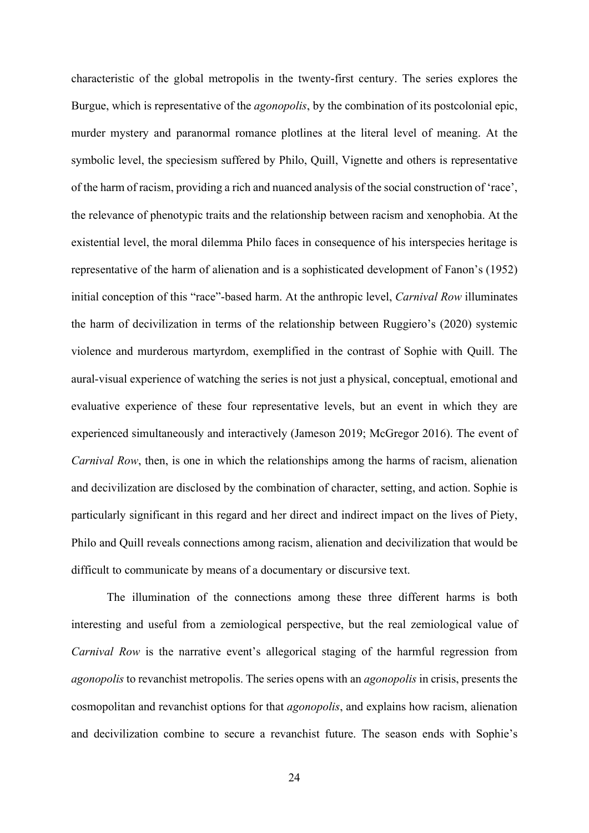characteristic of the global metropolis in the twenty-first century. The series explores the Burgue, which is representative of the *agonopolis*, by the combination of its postcolonial epic, murder mystery and paranormal romance plotlines at the literal level of meaning. At the symbolic level, the speciesism suffered by Philo, Quill, Vignette and others is representative of the harm of racism, providing a rich and nuanced analysis of the social construction of 'race', the relevance of phenotypic traits and the relationship between racism and xenophobia. At the existential level, the moral dilemma Philo faces in consequence of his interspecies heritage is representative of the harm of alienation and is a sophisticated development of Fanon's (1952) initial conception of this "race"-based harm. At the anthropic level, Carnival Row illuminates the harm of decivilization in terms of the relationship between Ruggiero's (2020) systemic violence and murderous martyrdom, exemplified in the contrast of Sophie with Quill. The aural-visual experience of watching the series is not just a physical, conceptual, emotional and evaluative experience of these four representative levels, but an event in which they are experienced simultaneously and interactively (Jameson 2019; McGregor 2016). The event of Carnival Row, then, is one in which the relationships among the harms of racism, alienation and decivilization are disclosed by the combination of character, setting, and action. Sophie is particularly significant in this regard and her direct and indirect impact on the lives of Piety, Philo and Quill reveals connections among racism, alienation and decivilization that would be difficult to communicate by means of a documentary or discursive text.

 The illumination of the connections among these three different harms is both interesting and useful from a zemiological perspective, but the real zemiological value of Carnival Row is the narrative event's allegorical staging of the harmful regression from agonopolis to revanchist metropolis. The series opens with an agonopolis in crisis, presents the cosmopolitan and revanchist options for that agonopolis, and explains how racism, alienation and decivilization combine to secure a revanchist future. The season ends with Sophie's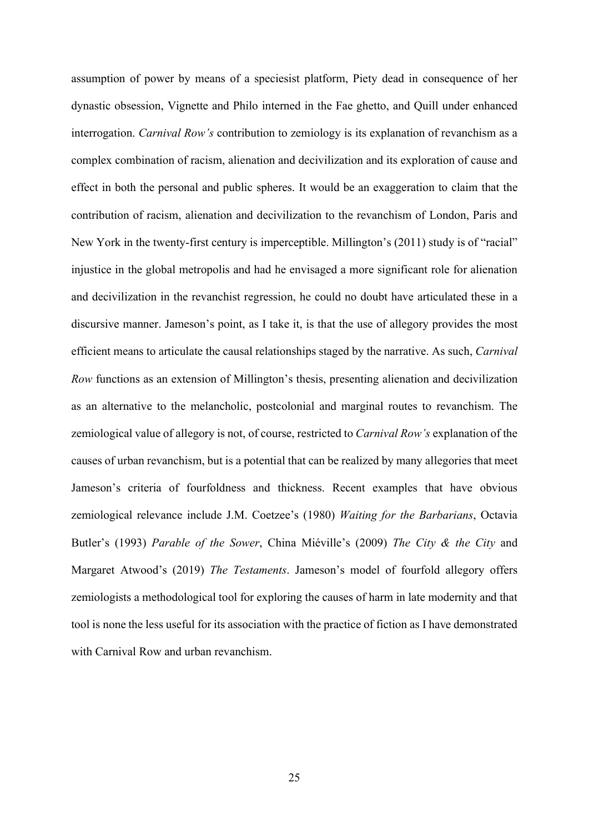assumption of power by means of a speciesist platform, Piety dead in consequence of her dynastic obsession, Vignette and Philo interned in the Fae ghetto, and Quill under enhanced interrogation. *Carnival Row's* contribution to zemiology is its explanation of revanchism as a complex combination of racism, alienation and decivilization and its exploration of cause and effect in both the personal and public spheres. It would be an exaggeration to claim that the contribution of racism, alienation and decivilization to the revanchism of London, Paris and New York in the twenty-first century is imperceptible. Millington's (2011) study is of "racial" injustice in the global metropolis and had he envisaged a more significant role for alienation and decivilization in the revanchist regression, he could no doubt have articulated these in a discursive manner. Jameson's point, as I take it, is that the use of allegory provides the most efficient means to articulate the causal relationships staged by the narrative. As such, Carnival Row functions as an extension of Millington's thesis, presenting alienation and decivilization as an alternative to the melancholic, postcolonial and marginal routes to revanchism. The zemiological value of allegory is not, of course, restricted to Carnival Row's explanation of the causes of urban revanchism, but is a potential that can be realized by many allegories that meet Jameson's criteria of fourfoldness and thickness. Recent examples that have obvious zemiological relevance include J.M. Coetzee's (1980) Waiting for the Barbarians, Octavia Butler's (1993) Parable of the Sower, China Miéville's (2009) The City & the City and Margaret Atwood's (2019) The Testaments. Jameson's model of fourfold allegory offers zemiologists a methodological tool for exploring the causes of harm in late modernity and that tool is none the less useful for its association with the practice of fiction as I have demonstrated with Carnival Row and urban revanchism.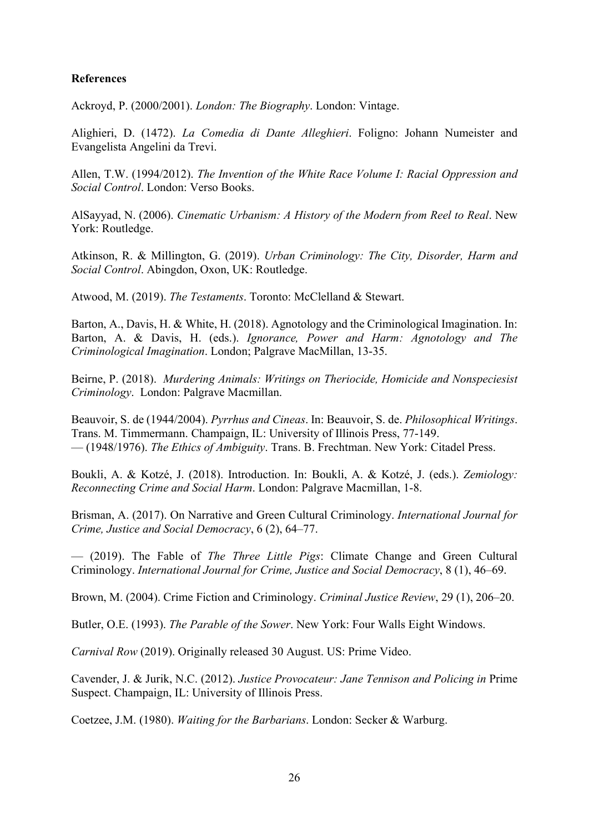# **References**

Ackroyd, P. (2000/2001). London: The Biography. London: Vintage.

Alighieri, D. (1472). La Comedia di Dante Alleghieri. Foligno: Johann Numeister and Evangelista Angelini da Trevi.

Allen, T.W. (1994/2012). The Invention of the White Race Volume I: Racial Oppression and Social Control. London: Verso Books.

AlSayyad, N. (2006). Cinematic Urbanism: A History of the Modern from Reel to Real. New York: Routledge.

Atkinson, R. & Millington, G. (2019). Urban Criminology: The City, Disorder, Harm and Social Control. Abingdon, Oxon, UK: Routledge.

Atwood, M. (2019). The Testaments. Toronto: McClelland & Stewart.

Barton, A., Davis, H. & White, H. (2018). Agnotology and the Criminological Imagination. In: Barton, A. & Davis, H. (eds.). Ignorance, Power and Harm: Agnotology and The Criminological Imagination. London; Palgrave MacMillan, 13-35.

Beirne, P. (2018). Murdering Animals: Writings on Theriocide, Homicide and Nonspeciesist Criminology. London: Palgrave Macmillan.

Beauvoir, S. de (1944/2004). Pyrrhus and Cineas. In: Beauvoir, S. de. Philosophical Writings. Trans. M. Timmermann. Champaign, IL: University of Illinois Press, 77-149. — (1948/1976). The Ethics of Ambiguity. Trans. B. Frechtman. New York: Citadel Press.

Boukli, A. & Kotzé, J. (2018). Introduction. In: Boukli, A. & Kotzé, J. (eds.). Zemiology: Reconnecting Crime and Social Harm. London: Palgrave Macmillan, 1-8.

Brisman, A. (2017). On Narrative and Green Cultural Criminology. International Journal for Crime, Justice and Social Democracy, 6 (2), 64–77.

— (2019). The Fable of The Three Little Pigs: Climate Change and Green Cultural Criminology. International Journal for Crime, Justice and Social Democracy, 8 (1), 46–69.

Brown, M. (2004). Crime Fiction and Criminology. Criminal Justice Review, 29 (1), 206–20.

Butler, O.E. (1993). The Parable of the Sower. New York: Four Walls Eight Windows.

Carnival Row (2019). Originally released 30 August. US: Prime Video.

Cavender, J. & Jurik, N.C. (2012). Justice Provocateur: Jane Tennison and Policing in Prime Suspect. Champaign, IL: University of Illinois Press.

Coetzee, J.M. (1980). Waiting for the Barbarians. London: Secker & Warburg.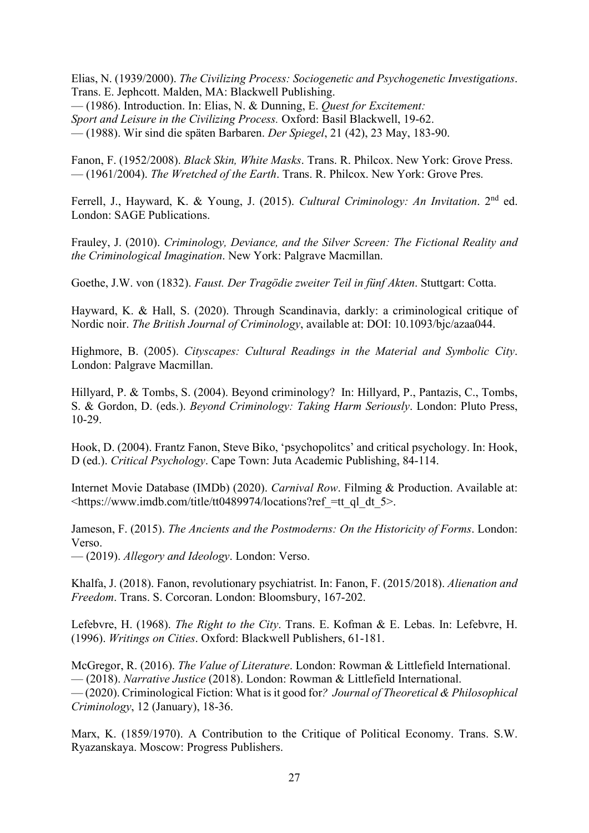Elias, N. (1939/2000). The Civilizing Process: Sociogenetic and Psychogenetic Investigations. Trans. E. Jephcott. Malden, MA: Blackwell Publishing. — (1986). Introduction. In: Elias, N. & Dunning, E. Quest for Excitement: Sport and Leisure in the Civilizing Process. Oxford: Basil Blackwell, 19-62. — (1988). Wir sind die späten Barbaren. Der Spiegel, 21 (42), 23 May, 183-90.

Fanon, F. (1952/2008). Black Skin, White Masks. Trans. R. Philcox. New York: Grove Press.

— (1961/2004). The Wretched of the Earth. Trans. R. Philcox. New York: Grove Pres.

Ferrell, J., Hayward, K. & Young, J. (2015). Cultural Criminology: An Invitation. 2<sup>nd</sup> ed. London: SAGE Publications.

Frauley, J. (2010). Criminology, Deviance, and the Silver Screen: The Fictional Reality and the Criminological Imagination. New York: Palgrave Macmillan.

Goethe, J.W. von (1832). Faust. Der Tragödie zweiter Teil in fünf Akten. Stuttgart: Cotta.

Hayward, K. & Hall, S. (2020). Through Scandinavia, darkly: a criminological critique of Nordic noir. The British Journal of Criminology, available at: DOI: 10.1093/bjc/azaa044.

Highmore, B. (2005). Cityscapes: Cultural Readings in the Material and Symbolic City. London: Palgrave Macmillan.

Hillyard, P. & Tombs, S. (2004). Beyond criminology? In: Hillyard, P., Pantazis, C., Tombs, S. & Gordon, D. (eds.). Beyond Criminology: Taking Harm Seriously. London: Pluto Press, 10-29.

Hook, D. (2004). Frantz Fanon, Steve Biko, 'psychopolitcs' and critical psychology. In: Hook, D (ed.). Critical Psychology. Cape Town: Juta Academic Publishing, 84-114.

Internet Movie Database (IMDb) (2020). Carnival Row. Filming & Production. Available at: <https://www.imdb.com/title/tt0489974/locations?ref\_=tt\_ql\_dt\_5>.

Jameson, F. (2015). The Ancients and the Postmoderns: On the Historicity of Forms. London: Verso.

— (2019). Allegory and Ideology. London: Verso.

Khalfa, J. (2018). Fanon, revolutionary psychiatrist. In: Fanon, F. (2015/2018). Alienation and Freedom. Trans. S. Corcoran. London: Bloomsbury, 167-202.

Lefebvre, H. (1968). The Right to the City. Trans. E. Kofman & E. Lebas. In: Lefebvre, H. (1996). Writings on Cities. Oxford: Blackwell Publishers, 61-181.

McGregor, R. (2016). The Value of Literature. London: Rowman & Littlefield International. — (2018). Narrative Justice (2018). London: Rowman & Littlefield International. — (2020). Criminological Fiction: What is it good for? Journal of Theoretical & Philosophical Criminology, 12 (January), 18-36.

Marx, K. (1859/1970). A Contribution to the Critique of Political Economy. Trans. S.W. Ryazanskaya. Moscow: Progress Publishers.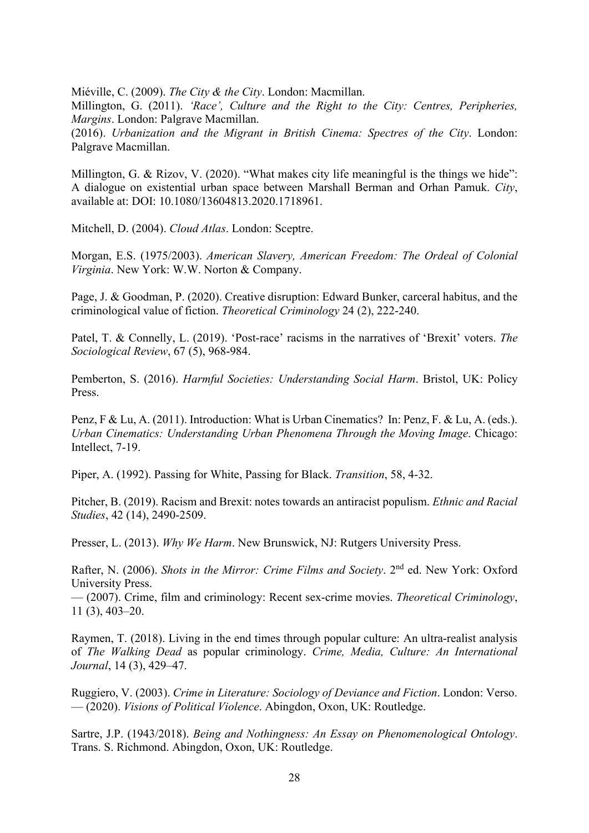Miéville, C. (2009). The City & the City. London: Macmillan.

Millington, G. (2011). 'Race', Culture and the Right to the City: Centres, Peripheries, Margins. London: Palgrave Macmillan.

(2016). Urbanization and the Migrant in British Cinema: Spectres of the City. London: Palgrave Macmillan.

Millington, G. & Rizov, V. (2020). "What makes city life meaningful is the things we hide": A dialogue on existential urban space between Marshall Berman and Orhan Pamuk. City, available at: DOI: 10.1080/13604813.2020.1718961.

Mitchell, D. (2004). Cloud Atlas. London: Sceptre.

Morgan, E.S. (1975/2003). American Slavery, American Freedom: The Ordeal of Colonial Virginia. New York: W.W. Norton & Company.

Page, J. & Goodman, P. (2020). Creative disruption: Edward Bunker, carceral habitus, and the criminological value of fiction. Theoretical Criminology 24 (2), 222-240.

Patel, T. & Connelly, L. (2019). 'Post-race' racisms in the narratives of 'Brexit' voters. The Sociological Review, 67 (5), 968-984.

Pemberton, S. (2016). Harmful Societies: Understanding Social Harm. Bristol, UK: Policy Press.

Penz, F & Lu, A. (2011). Introduction: What is Urban Cinematics? In: Penz, F. & Lu, A. (eds.). Urban Cinematics: Understanding Urban Phenomena Through the Moving Image. Chicago: Intellect, 7-19.

Piper, A. (1992). Passing for White, Passing for Black. Transition, 58, 4-32.

Pitcher, B. (2019). Racism and Brexit: notes towards an antiracist populism. Ethnic and Racial Studies, 42 (14), 2490-2509.

Presser, L. (2013). Why We Harm. New Brunswick, NJ: Rutgers University Press.

Rafter, N. (2006). Shots in the Mirror: Crime Films and Society. 2<sup>nd</sup> ed. New York: Oxford University Press.

— (2007). Crime, film and criminology: Recent sex-crime movies. Theoretical Criminology, 11 (3), 403–20.

Raymen, T. (2018). Living in the end times through popular culture: An ultra-realist analysis of The Walking Dead as popular criminology. Crime, Media, Culture: An International Journal, 14 (3), 429–47.

Ruggiero, V. (2003). Crime in Literature: Sociology of Deviance and Fiction. London: Verso. — (2020). Visions of Political Violence. Abingdon, Oxon, UK: Routledge.

Sartre, J.P. (1943/2018). Being and Nothingness: An Essay on Phenomenological Ontology. Trans. S. Richmond. Abingdon, Oxon, UK: Routledge.